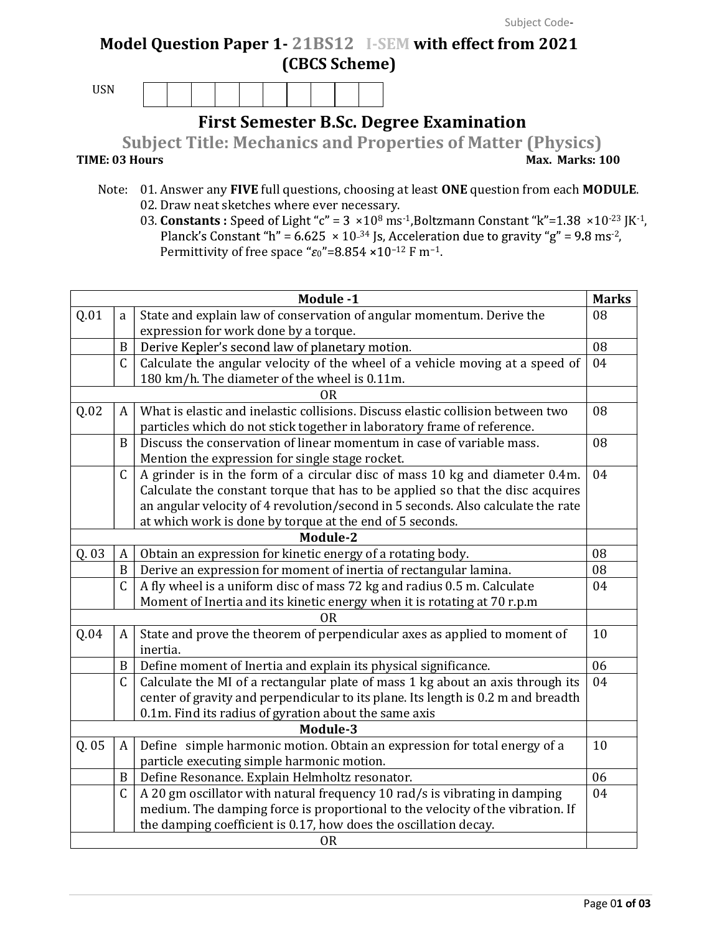## Model Question Paper 1- 21BS12 I-SEM with effect from 2021 (CBCS Scheme)

USN

First Semester B.Sc. Degree Examination

Subject Title: Mechanics and Properties of Matter (Physics) TIME: 03 Hours Max. Marks: 100

- Note: 01. Answer any FIVE full questions, choosing at least ONE question from each MODULE. 02. Draw neat sketches where ever necessary.
	- 03. Constants : Speed of Light "c" =  $3 \times 10^8$  ms<sup>-1</sup>, Boltzmann Constant "k"=1.38  $\times 10^{-23}$  JK<sup>-1</sup>, Planck's Constant "h" =  $6.625 \times 10^{-34}$  Js, Acceleration due to gravity "g" =  $9.8 \text{ ms}^{-2}$ , Permittivity of free space " $\varepsilon_0$ "=8.854 ×10<sup>-12</sup> F m<sup>-1</sup>.

|       |                                                                       | Module -1                                                                         | <b>Marks</b> |
|-------|-----------------------------------------------------------------------|-----------------------------------------------------------------------------------|--------------|
| Q.01  | State and explain law of conservation of angular momentum. Derive the | 08                                                                                |              |
|       |                                                                       | expression for work done by a torque.                                             |              |
|       | $\boldsymbol{B}$                                                      | Derive Kepler's second law of planetary motion.                                   | 08           |
|       | $\mathcal{C}$                                                         | Calculate the angular velocity of the wheel of a vehicle moving at a speed of     | 04           |
|       |                                                                       | 180 km/h. The diameter of the wheel is 0.11m.                                     |              |
|       |                                                                       | <b>OR</b>                                                                         | 08           |
| Q.02  | A                                                                     | What is elastic and inelastic collisions. Discuss elastic collision between two   |              |
|       |                                                                       | particles which do not stick together in laboratory frame of reference.           |              |
|       | B                                                                     | Discuss the conservation of linear momentum in case of variable mass.             | 08           |
|       |                                                                       | Mention the expression for single stage rocket.                                   |              |
|       | $\mathsf{C}$                                                          | A grinder is in the form of a circular disc of mass 10 kg and diameter 0.4m.      | 04           |
|       |                                                                       | Calculate the constant torque that has to be applied so that the disc acquires    |              |
|       |                                                                       | an angular velocity of 4 revolution/second in 5 seconds. Also calculate the rate  |              |
|       |                                                                       | at which work is done by torque at the end of 5 seconds.                          |              |
|       |                                                                       | Module-2                                                                          |              |
| Q. 03 | A                                                                     | Obtain an expression for kinetic energy of a rotating body.                       | 08           |
|       | B                                                                     | Derive an expression for moment of inertia of rectangular lamina.                 | 08           |
|       | $\mathsf{C}$                                                          | A fly wheel is a uniform disc of mass 72 kg and radius 0.5 m. Calculate           | 04           |
|       |                                                                       | Moment of Inertia and its kinetic energy when it is rotating at 70 r.p.m          |              |
|       |                                                                       | 0 <sub>R</sub>                                                                    | 10           |
| Q.04  | A                                                                     | State and prove the theorem of perpendicular axes as applied to moment of         |              |
|       |                                                                       | inertia.                                                                          |              |
|       | B                                                                     | Define moment of Inertia and explain its physical significance.                   | 06           |
|       | $\mathcal{C}$                                                         | Calculate the MI of a rectangular plate of mass 1 kg about an axis through its    | 04           |
|       |                                                                       | center of gravity and perpendicular to its plane. Its length is 0.2 m and breadth |              |
|       |                                                                       | 0.1m. Find its radius of gyration about the same axis                             |              |
|       |                                                                       | Module-3                                                                          |              |
| Q. 05 | A                                                                     | Define simple harmonic motion. Obtain an expression for total energy of a         | 10           |
|       |                                                                       | particle executing simple harmonic motion.                                        |              |
|       | B                                                                     | Define Resonance. Explain Helmholtz resonator.                                    | 06           |
|       | $\mathsf{C}$                                                          | A 20 gm oscillator with natural frequency 10 rad/s is vibrating in damping        | 04           |
|       |                                                                       | medium. The damping force is proportional to the velocity of the vibration. If    |              |
|       |                                                                       | the damping coefficient is 0.17, how does the oscillation decay.                  |              |
|       |                                                                       | <b>OR</b>                                                                         |              |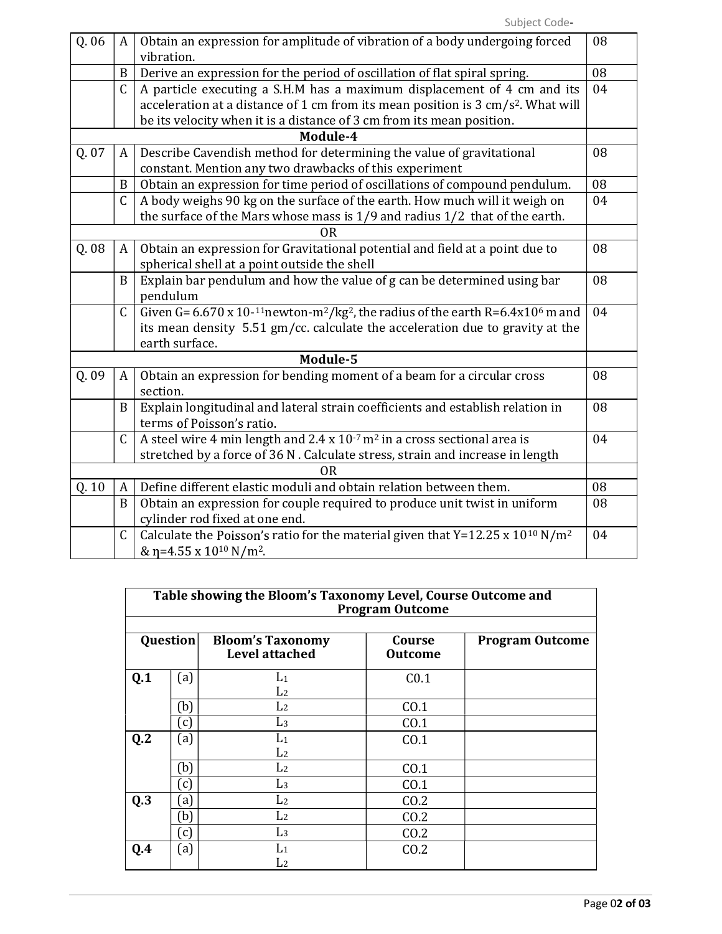| Q. 06 | A            | Obtain an expression for amplitude of vibration of a body undergoing forced                                                  | 08 |
|-------|--------------|------------------------------------------------------------------------------------------------------------------------------|----|
|       |              | vibration.                                                                                                                   |    |
|       | B            | Derive an expression for the period of oscillation of flat spiral spring.                                                    | 08 |
|       | C            | A particle executing a S.H.M has a maximum displacement of 4 cm and its                                                      | 04 |
|       |              | acceleration at a distance of 1 cm from its mean position is 3 cm/s <sup>2</sup> . What will                                 |    |
|       |              | be its velocity when it is a distance of 3 cm from its mean position.                                                        |    |
|       |              | Module-4                                                                                                                     |    |
| Q.07  | A            | Describe Cavendish method for determining the value of gravitational                                                         | 08 |
|       |              | constant. Mention any two drawbacks of this experiment                                                                       |    |
|       | B            | Obtain an expression for time period of oscillations of compound pendulum.                                                   | 08 |
|       | $\mathsf{C}$ | A body weighs 90 kg on the surface of the earth. How much will it weigh on                                                   | 04 |
|       |              | the surface of the Mars whose mass is $1/9$ and radius $1/2$ that of the earth.                                              |    |
|       |              | 0 <sub>R</sub>                                                                                                               |    |
| Q.08  | A            | Obtain an expression for Gravitational potential and field at a point due to                                                 | 08 |
|       |              | spherical shell at a point outside the shell                                                                                 |    |
|       | B            | Explain bar pendulum and how the value of g can be determined using bar                                                      | 08 |
|       |              | pendulum                                                                                                                     |    |
|       | $\mathsf C$  | Given G= $6.670 \times 10^{-11}$ newton-m <sup>2</sup> /kg <sup>2</sup> , the radius of the earth R= $6.4 \times 10^6$ m and | 04 |
|       |              | its mean density 5.51 gm/cc. calculate the acceleration due to gravity at the                                                |    |
|       |              | earth surface.                                                                                                               |    |
|       |              | Module-5                                                                                                                     |    |
| Q.09  | A            | Obtain an expression for bending moment of a beam for a circular cross                                                       | 08 |
|       |              | section.                                                                                                                     |    |
|       | B            | Explain longitudinal and lateral strain coefficients and establish relation in                                               | 08 |
|       |              | terms of Poisson's ratio.                                                                                                    |    |
|       | $\mathsf C$  | A steel wire 4 min length and $2.4 \times 10^{-7}$ m <sup>2</sup> in a cross sectional area is                               | 04 |
|       |              | stretched by a force of 36 N. Calculate stress, strain and increase in length                                                |    |
|       |              | 0 <sub>R</sub>                                                                                                               |    |
| Q.10  | A            | Define different elastic moduli and obtain relation between them.                                                            | 08 |
|       | B            | Obtain an expression for couple required to produce unit twist in uniform                                                    | 08 |
|       |              | cylinder rod fixed at one end.                                                                                               |    |
|       | $\mathsf{C}$ | Calculate the Poisson's ratio for the material given that Y=12.25 x 10 <sup>10</sup> N/m <sup>2</sup>                        | 04 |
|       |              | & $\eta$ =4.55 x 10 <sup>10</sup> N/m <sup>2</sup> .                                                                         |    |

| Table showing the Bloom's Taxonomy Level, Course Outcome and<br><b>Program Outcome</b> |                   |                                                  |                          |                        |  |  |  |  |  |
|----------------------------------------------------------------------------------------|-------------------|--------------------------------------------------|--------------------------|------------------------|--|--|--|--|--|
| Question                                                                               |                   | <b>Bloom's Taxonomy</b><br><b>Level attached</b> | Course<br><b>Outcome</b> | <b>Program Outcome</b> |  |  |  |  |  |
| Q.1                                                                                    | (a)               | $L_1$<br>L <sub>2</sub>                          | C <sub>0.1</sub>         |                        |  |  |  |  |  |
|                                                                                        | (b)               | L <sub>2</sub>                                   | CO.1                     |                        |  |  |  |  |  |
|                                                                                        | (c)               | L <sub>3</sub>                                   | CO.1                     |                        |  |  |  |  |  |
| Q.2                                                                                    | (a)               | $L_1$<br>L <sub>2</sub>                          | CO.1                     |                        |  |  |  |  |  |
|                                                                                        | (b)               | L <sub>2</sub>                                   | CO.1                     |                        |  |  |  |  |  |
|                                                                                        | (c)               | L <sub>3</sub>                                   | CO.1                     |                        |  |  |  |  |  |
| Q.3                                                                                    | $\left[ a\right]$ | L <sub>2</sub>                                   | CO.2                     |                        |  |  |  |  |  |
|                                                                                        | (b)               | L <sub>2</sub>                                   | CO.2                     |                        |  |  |  |  |  |
|                                                                                        | (c)               | L <sub>3</sub>                                   | CO.2                     |                        |  |  |  |  |  |
| Q.4                                                                                    | (a)               | $L_1$                                            | CO.2                     |                        |  |  |  |  |  |
|                                                                                        |                   | L <sub>2</sub>                                   |                          |                        |  |  |  |  |  |